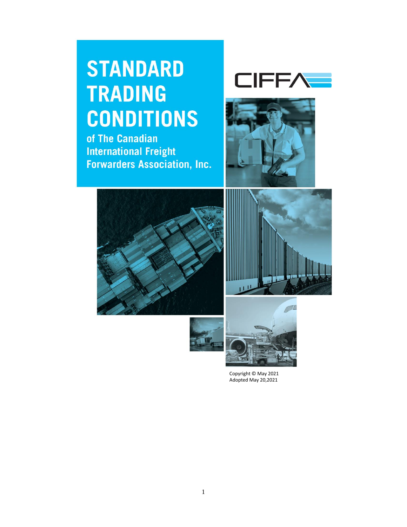# **STANDARD TRADING CONDITIONS**

of The Canadian **International Freight Forwarders Association, Inc.** 











Copyright © May 2021 Adopted May 20,2021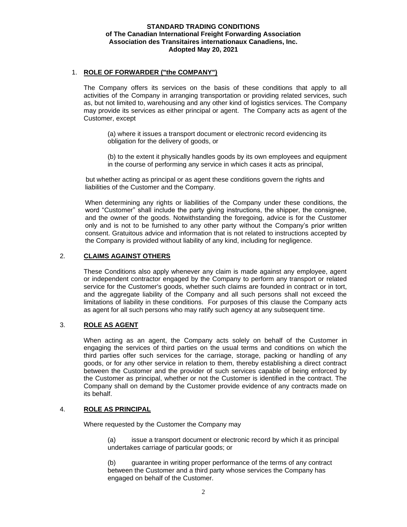### **STANDARD TRADING CONDITIONS of The Canadian International Freight Forwarding Association Association des Transitaires internationaux Canadiens, Inc. Adopted May 20, 2021**

## 1. **ROLE OF FORWARDER ("the COMPANY")**

The Company offers its services on the basis of these conditions that apply to all activities of the Company in arranging transportation or providing related services, such as, but not limited to, warehousing and any other kind of logistics services. The Company may provide its services as either principal or agent. The Company acts as agent of the Customer, except

(a) where it issues a transport document or electronic record evidencing its obligation for the delivery of goods, or

(b) to the extent it physically handles goods by its own employees and equipment in the course of performing any service in which cases it acts as principal,

but whether acting as principal or as agent these conditions govern the rights and liabilities of the Customer and the Company.

When determining any rights or liabilities of the Company under these conditions, the word "Customer" shall include the party giving instructions, the shipper, the consignee, and the owner of the goods. Notwithstanding the foregoing, advice is for the Customer only and is not to be furnished to any other party without the Company's prior written consent. Gratuitous advice and information that is not related to instructions accepted by the Company is provided without liability of any kind, including for negligence.

# 2. **CLAIMS AGAINST OTHERS**

These Conditions also apply whenever any claim is made against any employee, agent or independent contractor engaged by the Company to perform any transport or related service for the Customer's goods, whether such claims are founded in contract or in tort, and the aggregate liability of the Company and all such persons shall not exceed the limitations of liability in these conditions. For purposes of this clause the Company acts as agent for all such persons who may ratify such agency at any subsequent time.

## 3. **ROLE AS AGENT**

When acting as an agent, the Company acts solely on behalf of the Customer in engaging the services of third parties on the usual terms and conditions on which the third parties offer such services for the carriage, storage, packing or handling of any goods, or for any other service in relation to them, thereby establishing a direct contract between the Customer and the provider of such services capable of being enforced by the Customer as principal, whether or not the Customer is identified in the contract. The Company shall on demand by the Customer provide evidence of any contracts made on its behalf.

## 4. **ROLE AS PRINCIPAL**

Where requested by the Customer the Company may

(a) issue a transport document or electronic record by which it as principal undertakes carriage of particular goods; or

(b) guarantee in writing proper performance of the terms of any contract between the Customer and a third party whose services the Company has engaged on behalf of the Customer.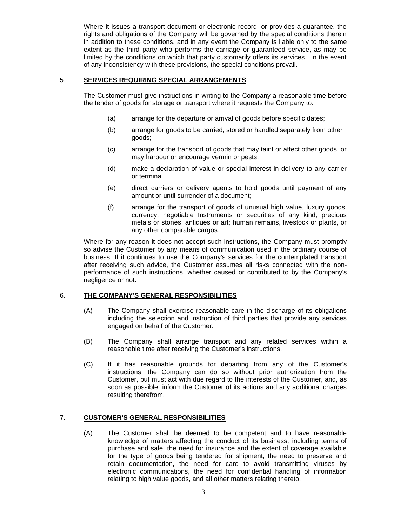Where it issues a transport document or electronic record, or provides a guarantee, the rights and obligations of the Company will be governed by the special conditions therein in addition to these conditions, and in any event the Company is liable only to the same extent as the third party who performs the carriage or guaranteed service, as may be limited by the conditions on which that party customarily offers its services. In the event of any inconsistency with these provisions, the special conditions prevail.

# 5. **SERVICES REQUIRING SPECIAL ARRANGEMENTS**

The Customer must give instructions in writing to the Company a reasonable time before the tender of goods for storage or transport where it requests the Company to:

- (a) arrange for the departure or arrival of goods before specific dates;
- (b) arrange for goods to be carried, stored or handled separately from other goods;
- (c) arrange for the transport of goods that may taint or affect other goods, or may harbour or encourage vermin or pests;
- (d) make a declaration of value or special interest in delivery to any carrier or terminal;
- (e) direct carriers or delivery agents to hold goods until payment of any amount or until surrender of a document;
- (f) arrange for the transport of goods of unusual high value, luxury goods, currency, negotiable Instruments or securities of any kind, precious metals or stones; antiques or art; human remains, livestock or plants, or any other comparable cargos.

Where for any reason it does not accept such instructions, the Company must promptly so advise the Customer by any means of communication used in the ordinary course of business. If it continues to use the Company's services for the contemplated transport after receiving such advice, the Customer assumes all risks connected with the nonperformance of such instructions, whether caused or contributed to by the Company's negligence or not.

## 6. **THE COMPANY'S GENERAL RESPONSIBILITIES**

- (A) The Company shall exercise reasonable care in the discharge of its obligations including the selection and instruction of third parties that provide any services engaged on behalf of the Customer.
- (B) The Company shall arrange transport and any related services within a reasonable time after receiving the Customer's instructions.
- (C) If it has reasonable grounds for departing from any of the Customer's instructions, the Company can do so without prior authorization from the Customer, but must act with due regard to the interests of the Customer, and, as soon as possible, inform the Customer of its actions and any additional charges resulting therefrom.

## 7. **CUSTOMER'S GENERAL RESPONSIBILITIES**

(A) The Customer shall be deemed to be competent and to have reasonable knowledge of matters affecting the conduct of its business, including terms of purchase and sale, the need for insurance and the extent of coverage available for the type of goods being tendered for shipment, the need to preserve and retain documentation, the need for care to avoid transmitting viruses by electronic communications, the need for confidential handling of information relating to high value goods, and all other matters relating thereto.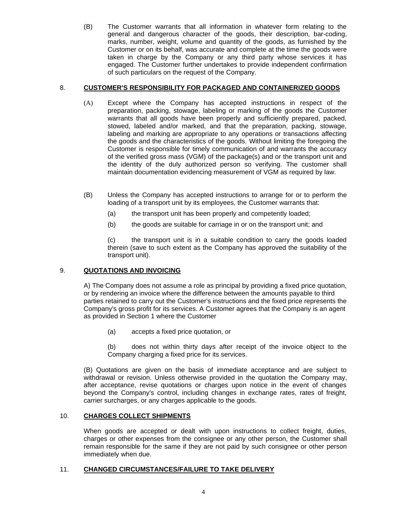(B) The Customer warrants that all information in whatever form relating to the general and dangerous character of the goods, their description, bar-coding, marks, number, weight, volume and quantity of the goods, as furnished by the Customer or on its behalf, was accurate and complete at the time the goods were taken in charge by the Company or any third party whose services it has engaged. The Customer further undertakes to provide independent confirmation of such particulars on the request of the Company.

# 8. **CUSTOMER'S RESPONSIBILITY FOR PACKAGED AND CONTAINERIZED GOODS**

- (A) Except where the Company has accepted instructions in respect of the preparation, packing, stowage, labeling or marking of the goods the Customer warrants that all goods have been properly and sufficiently prepared, packed, stowed, labeled and/or marked, and that the preparation, packing, stowage, labeling and marking are appropriate to any operations or transactions affecting the goods and the characteristics of the goods. Without limiting the foregoing the Customer is responsible for timely communication of and warrants the accuracy of the verified gross mass (VGM) of the package(s) and or the transport unit and the identity of the duly authorized person so verifying. The customer shall maintain documentation evidencing measurement of VGM as required by law.
- (B) Unless the Company has accepted instructions to arrange for or to perform the loading of a transport unit by its employees, the Customer warrants that:
	- (a) the transport unit has been properly and competently loaded;
	- (b) the goods are suitable for carriage in or on the transport unit; and

(c) the transport unit is in a suitable condition to carry the goods loaded therein (save to such extent as the Company has approved the suitability of the transport unit).

# 9. **QUOTATIONS AND INVOICING**

A) The Company does not assume a role as principal by providing a fixed price quotation, or by rendering an invoice where the difference between the amounts payable to third parties retained to carry out the Customer's instructions and the fixed price represents the Company's gross profit for its services. A Customer agrees that the Company is an agent as provided in Section 1 where the Customer

(a) accepts a fixed price quotation, or

(b) does not within thirty days after receipt of the invoice object to the Company charging a fixed price for its services.

(B) Quotations are given on the basis of immediate acceptance and are subject to withdrawal or revision. Unless otherwise provided in the quotation the Company may, after acceptance, revise quotations or charges upon notice in the event of changes beyond the Company's control, including changes in exchange rates, rates of freight, carrier surcharges, or any charges applicable to the goods.

# 10. **CHARGES COLLECT SHIPMENTS**

When goods are accepted or dealt with upon instructions to collect freight, duties, charges or other expenses from the consignee or any other person, the Customer shall remain responsible for the same if they are not paid by such consignee or other person immediately when due.

# 11. **CHANGED CIRCUMSTANCES/FAILURE TO TAKE DELIVERY**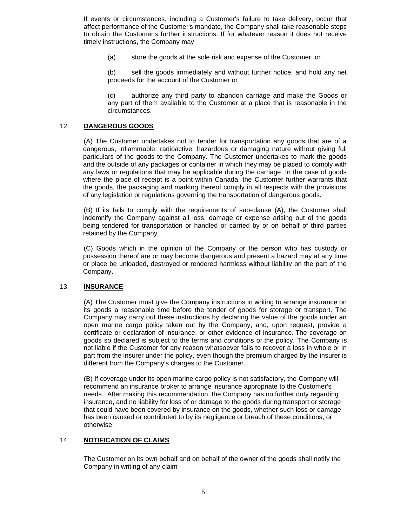If events or circumstances, including a Customer's failure to take delivery, occur that affect performance of the Customer's mandate, the Company shall take reasonable steps to obtain the Customer's further instructions. If for whatever reason it does not receive timely instructions, the Company may

(a) store the goods at the sole risk and expense of the Customer, or

(b) sell the goods immediately and without further notice, and hold any net proceeds for the account of the Customer or

(c) authorize any third party to abandon carriage and make the Goods or any part of them available to the Customer at a place that is reasonable in the circumstances.

## 12. **DANGEROUS GOODS**

(A) The Customer undertakes not to tender for transportation any goods that are of a dangerous, inflammable, radioactive, hazardous or damaging nature without giving full particulars of the goods to the Company. The Customer undertakes to mark the goods and the outside of any packages or container in which they may be placed to comply with any laws or regulations that may be applicable during the carriage. In the case of goods where the place of receipt is a point within Canada, the Customer further warrants that the goods, the packaging and marking thereof comply in all respects with the provisions of any legislation or regulations governing the transportation of dangerous goods.

(B) If its fails to comply with the requirements of sub-clause (A), the Customer shall indemnify the Company against all loss, damage or expense arising out of the goods being tendered for transportation or handled or carried by or on behalf of third parties retained by the Company.

(C) Goods which in the opinion of the Company or the person who has custody or possession thereof are or may become dangerous and present a hazard may at any time or place be unloaded, destroyed or rendered harmless without liability on the part of the Company.

## 13. **INSURANCE**

(A) The Customer must give the Company instructions in writing to arrange insurance on its goods a reasonable time before the tender of goods for storage or transport. The Company may carry out these instructions by declaring the value of the goods under an open marine cargo policy taken out by the Company, and, upon request, provide a certificate or declaration of insurance, or other evidence of insurance. The coverage on goods so declared is subject to the terms and conditions of the policy. The Company is not liable if the Customer for any reason whatsoever fails to recover a loss in whole or in part from the insurer under the policy, even though the premium charged by the insurer is different from the Company's charges to the Customer.

(B) If coverage under its open marine cargo policy is not satisfactory, the Company will recommend an insurance broker to arrange insurance appropriate to the Customer's needs. After making this recommendation, the Company has no further duty regarding insurance, and no liability for loss of or damage to the goods during transport or storage that could have been covered by insurance on the goods, whether such loss or damage has been caused or contributed to by its negligence or breach of these conditions, or otherwise.

## 14. **NOTIFICATION OF CLAIMS**

The Customer on its own behalf and on behalf of the owner of the goods shall notify the Company in writing of any claim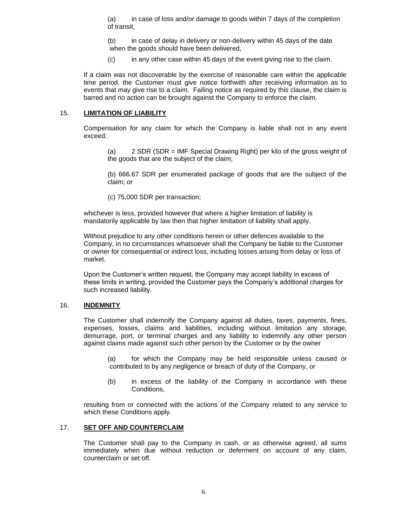(a) in case of loss and/or damage to goods within 7 days of the completion of transit,

(b) in case of delay in delivery or non-delivery within 45 days of the date when the goods should have been delivered.

(c) in any other case within 45 days of the event giving rise to the claim.

If a claim was not discoverable by the exercise of reasonable care within the applicable time period, the Customer must give notice forthwith after receiving information as to events that may give rise to a claim. Failing notice as required by this clause, the claim is barred and no action can be brought against the Company to enforce the claim.

### 15. **LIMITATION OF LIABILITY**

Compensation for any claim for which the Company is liable shall not in any event exceed:

(a) 2 SDR (SDR = IMF Special Drawing Right) per kilo of the gross weight of the goods that are the subject of the claim;

(b) 666.67 SDR per enumerated package of goods that are the subject of the claim; or

(c) 75,000 SDR per transaction;

whichever is less, provided however that where a higher limitation of liability is mandatorily applicable by law then that higher limitation of liability shall apply.

Without prejudice to any other conditions herein or other defences available to the Company, in no circumstances whatsoever shall the Company be liable to the Customer or owner for consequential or indirect loss, including losses arising from delay or loss of market.

Upon the Customer's written request, the Company may accept liability in excess of these limits in writing, provided the Customer pays the Company's additional charges for such increased liability.

## 16. **INDEMNITY**

The Customer shall indemnify the Company against all duties, taxes, payments, fines, expenses, losses, claims and liabilities, including without limitation any storage, demurrage, port, or terminal charges and any liability to indemnify any other person against claims made against such other person by the Customer or by the owner

(a) for which the Company may be held responsible unless caused or contributed to by any negligence or breach of duty of the Company, or

(b) in excess of the liability of the Company in accordance with these Conditions,

resulting from or connected with the actions of the Company related to any service to which these Conditions apply.

## 17. **SET OFF AND COUNTERCLAIM**

The Customer shall pay to the Company in cash, or as otherwise agreed, all sums immediately when due without reduction or deferment on account of any claim, counterclaim or set off.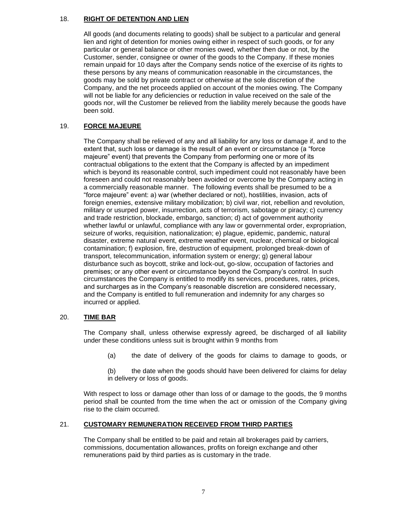# 18. **RIGHT OF DETENTION AND LIEN**

All goods (and documents relating to goods) shall be subject to a particular and general lien and right of detention for monies owing either in respect of such goods, or for any particular or general balance or other monies owed, whether then due or not, by the Customer, sender, consignee or owner of the goods to the Company. If these monies remain unpaid for 10 days after the Company sends notice of the exercise of its rights to these persons by any means of communication reasonable in the circumstances, the goods may be sold by private contract or otherwise at the sole discretion of the Company, and the net proceeds applied on account of the monies owing. The Company will not be liable for any deficiencies or reduction in value received on the sale of the goods nor, will the Customer be relieved from the liability merely because the goods have been sold.

# 19. **FORCE MAJEURE**

The Company shall be relieved of any and all liability for any loss or damage if, and to the extent that, such loss or damage is the result of an event or circumstance (a "force majeure" event) that prevents the Company from performing one or more of its contractual obligations to the extent that the Company is affected by an impediment which is beyond its reasonable control, such impediment could not reasonably have been foreseen and could not reasonably been avoided or overcome by the Company acting in a commercially reasonable manner. The following events shall be presumed to be a "force majeure" event: a) war (whether declared or not), hostilities, invasion, acts of foreign enemies, extensive military mobilization; b) civil war, riot, rebellion and revolution, military or usurped power, insurrection, acts of terrorism, sabotage or piracy; c) currency and trade restriction, blockade, embargo, sanction; d) act of government authority whether lawful or unlawful, compliance with any law or governmental order, expropriation, seizure of works, requisition, nationalization; e) plague, epidemic, pandemic, natural disaster, extreme natural event, extreme weather event, nuclear, chemical or biological contamination; f) explosion, fire, destruction of equipment, prolonged break-down of transport, telecommunication, information system or energy; g) general labour disturbance such as boycott, strike and lock-out, go-slow, occupation of factories and premises; or any other event or circumstance beyond the Company's control. In such circumstances the Company is entitled to modify its services, procedures, rates, prices, and surcharges as in the Company's reasonable discretion are considered necessary, and the Company is entitled to full remuneration and indemnity for any charges so incurred or applied.

# 20. **TIME BAR**

The Company shall, unless otherwise expressly agreed, be discharged of all liability under these conditions unless suit is brought within 9 months from

(a) the date of delivery of the goods for claims to damage to goods, or

(b) the date when the goods should have been delivered for claims for delay in delivery or loss of goods.

With respect to loss or damage other than loss of or damage to the goods, the 9 months period shall be counted from the time when the act or omission of the Company giving rise to the claim occurred.

# 21. **CUSTOMARY REMUNERATION RECEIVED FROM THIRD PARTIES**

The Company shall be entitled to be paid and retain all brokerages paid by carriers, commissions, documentation allowances, profits on foreign exchange and other remunerations paid by third parties as is customary in the trade.